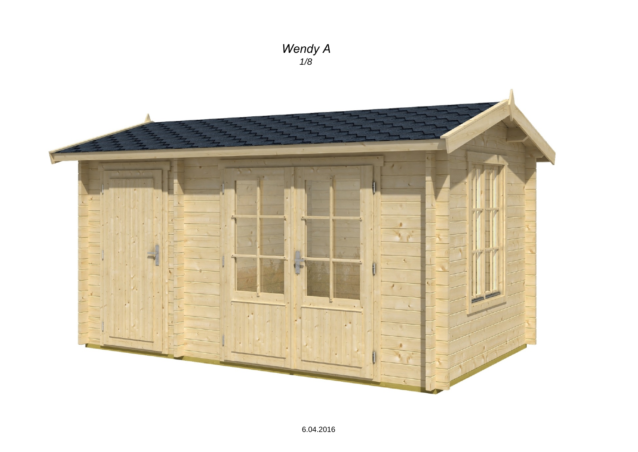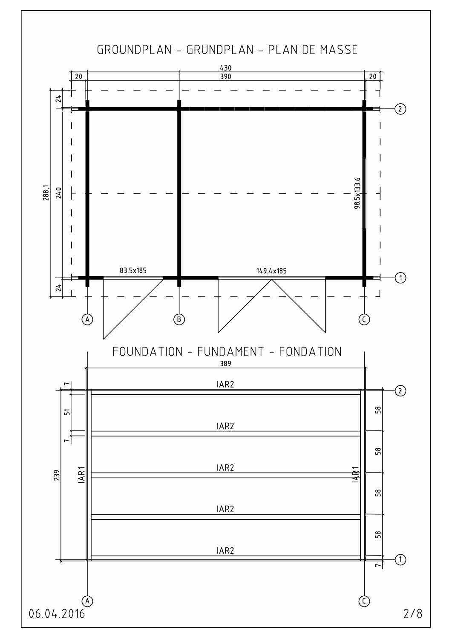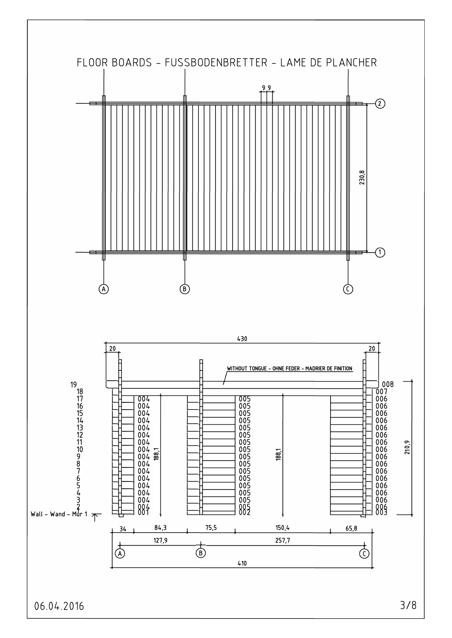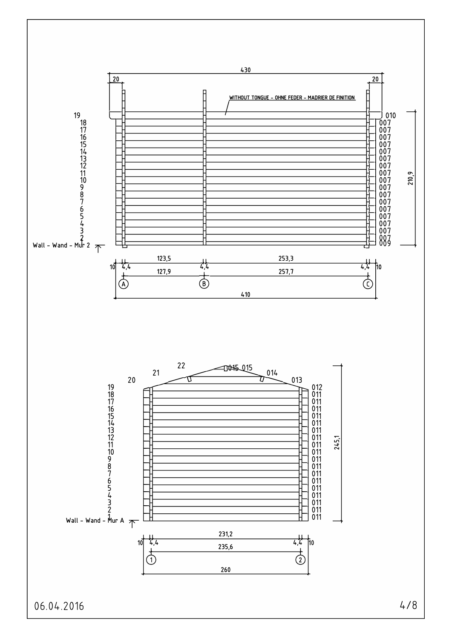

06.04.2016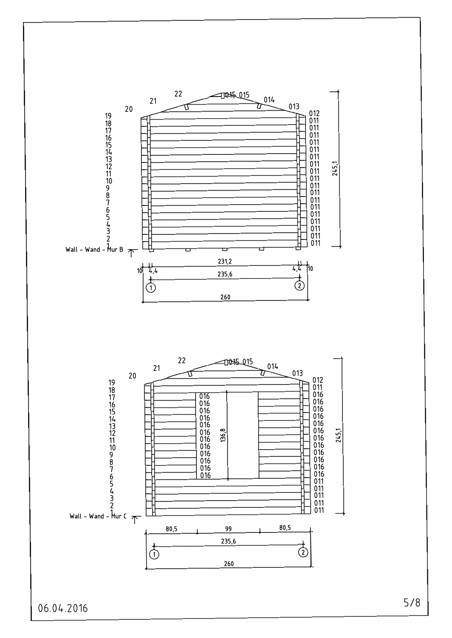

06.04.2016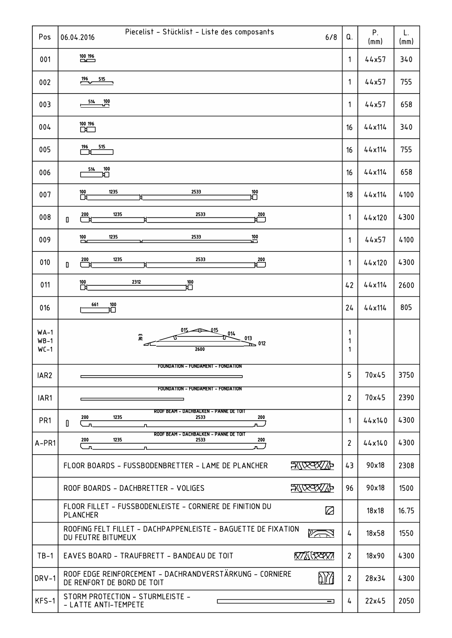| Pos                        | Piecelist - Stücklist - Liste des composants<br>06.04.2016<br>6/8                                                 | Q.             | P.<br>(mm)   | L.<br>(mm) |
|----------------------------|-------------------------------------------------------------------------------------------------------------------|----------------|--------------|------------|
| 001                        | $\frac{100}{\sqrt{2}}$                                                                                            | 1              | 44x57        | 340        |
| 002                        | $\frac{196}{2}$<br>515                                                                                            | 1              | 44x57        | 755        |
| 003                        | 514<br>$\frac{100}{1}$                                                                                            | 1              | 44x57        | 658        |
| 004                        | $\overline{D}$                                                                                                    | 16             | 44x114       | 340        |
| 005                        | 196<br>515                                                                                                        | 16             | 44x114       | 755        |
| 006                        | 514<br>$\mathbf{\hat E}^{100}$                                                                                    | 16             | 44x114       | 658        |
| 007                        | 1235<br>2533<br>$\overline{\Box}$<br>。<br>巴                                                                       | 18             | 44x114       | 4100       |
| 008                        | 2533<br>$\frac{200}{1}$<br>1235<br>$\overline{ }$<br>O                                                            | 1              | 44x120       | 4300       |
| 009                        | 2533<br>1235<br>$\overline{100}$<br>$\frac{100}{100}$                                                             | 1              | 44x57        | 4100       |
| 010                        | 2533<br>1235<br>$\frac{200}{1}$<br>$\overline{ }$<br>$\begin{array}{c} \n\end{array}$                             | 1              | 44x120       | 4300       |
| 011                        | 2312<br>$\overline{D}$<br>$\mathop{\mathrm{H}}\nolimits^{\hspace{-0.5cm}\mathsf{100}}$                            | 42             | 44x114       | 2600       |
| 016                        | 661<br>旨                                                                                                          | 24             | 44x114       | 805        |
| $WA-1$<br>$WB-1$<br>$WC-1$ | Q15<br>014<br>ଛ<br>013<br>$\sum$ 012<br>2600                                                                      | 1<br>1<br>1    |              |            |
| IAR <sub>2</sub>           | FOUNDATION - FUNDAMENT - FONDATION                                                                                | 5              | 70x45        | 3750       |
| IAR1                       | FOUNDATION - FUNDAMENT - FONDATION                                                                                | $\overline{2}$ | 70x45        | 2390       |
| PR <sub>1</sub>            | ROOF BEAM - DACHBALKEN - PANNE DE TOIT<br>1235<br>2533<br>200<br>200<br>$\mathbf{0}$<br>៱▁ノ<br>$\mathbf{u}$<br>n. | 1              | 44x140       | 4300       |
| A-PR1                      | ROOF BEAM - DACHBALKEN - PANNE DE TOIT<br>1235<br>2533<br>200<br>200<br><u>_n</u><br>л.                           | $\overline{2}$ | 44x140       | 4300       |
|                            | <b>FINXYZY/TP</b><br>FLOOR BOARDS - FUSSBODENBRETTER - LAME DE PLANCHER                                           | 43             | 90x18        | 2308       |
|                            | 现效双冲<br>ROOF BOARDS - DACHBRETTER - VOLIGES                                                                       | 96             | 90x18        | 1500       |
|                            | FLOOR FILLET - FUSSBODENLEISTE - CORNIERE DE FINITION DU<br>☑<br>PLANCHER                                         |                | $18\times18$ | 16.75      |
|                            | ROOFING FELT FILLET - DACHPAPPENLEISTE - BAGUETTE DE FIXATION<br>"∕⊼<br>DU FEUTRE BITUMEUX                        | 4              | 18x58        | 1550       |
| $TB-1$                     | <b>KTATKAYARTA</b><br>EAVES BOARD - TRAUFBRETT - BANDEAU DE TOIT                                                  | $\overline{2}$ | 18x90        | 4300       |
| DRV-1                      | ROOF EDGE REINFORCEMENT - DACHRANDVERSTÄRKUNG - CORNIERE<br>blΩ<br>DE RENFORT DE BORD DE TOIT                     | $\overline{2}$ | 28x34        | 4300       |
| KFS-1                      | STORM PROTECTION - STURMLEISTE -<br>ᆿ<br>- LATTE ANTI-TEMPETE                                                     | 4              | 22x45        | 2050       |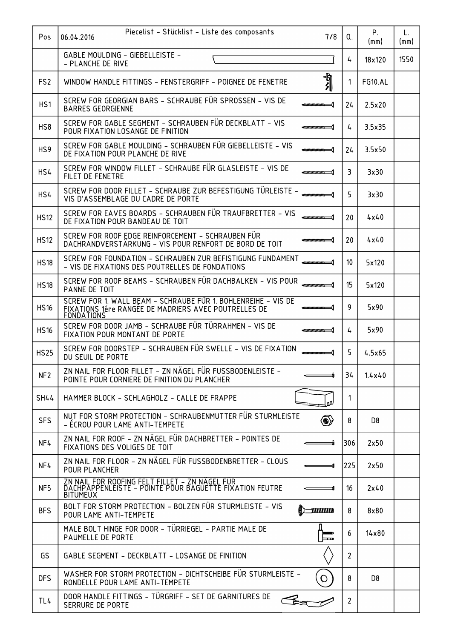| Pos             | Piecelist - Stücklist - Liste des composants<br>06.04.2016<br>7/8                                                                          | Q.                    | Ρ.             | L.   |
|-----------------|--------------------------------------------------------------------------------------------------------------------------------------------|-----------------------|----------------|------|
|                 | GABLE MOULDING - GIEBELLEISTE -                                                                                                            |                       | (mm)           | (mm) |
|                 | - PLANCHE DE RIVE                                                                                                                          | 4                     | 18x120         | 1550 |
| FS <sub>2</sub> | りんしょう<br>WINDOW HANDLE FITTINGS - FENSTERGRIFF - POIGNEE DE FENETRE                                                                        | 1                     | <b>FG10.AL</b> |      |
| HS1             | SCREW FOR GEORGIAN BARS - SCHRAUBE FÜR SPROSSEN - VIS DE<br><b>BARRES GEORGIENNE</b>                                                       | 24                    | 2.5x20         |      |
| HS8             | SCREW FOR GABLE SEGMENT - SCHRAUBEN FÜR DECKBLATT - VIS<br>,,,,,,,,,,,,,,,,,<br>POUR FIXATION LOSANGE DE FINITION                          | 4                     | 3.5x35         |      |
| HS <sub>9</sub> | SCREW FOR GABLE MOULDING - SCHRAUBEN FÜR GIEBELLEISTE - VIS<br>,,,,,,,,,,,,,,,,,<br>DE FIXATION POUR PLANCHE DE RIVE                       | 24                    | 3.5x50         |      |
| HS4             | SCREW FOR WINDOW FILLET - SCHRAUBE FÜR GLASLEISTE - VIS DE<br>FILET DE FENETRE                                                             | 3                     | 3x30           |      |
| HS4             | SCREW FOR DOOR FILLET – SCHRAUBE ZUR BEFESTIGUNG TÜRLEISTE –<br>VIS D'ASSEMBLAGE DU CADRE DE PORTE                                         | 5                     | 3x30           |      |
| <b>HS12</b>     | SCREW FOR EAVES BOARDS - SCHRAUBEN FÜR TRAUFBRETTER - VIS<br>DE FIXATION POUR BANDEAU DE TOIT                                              | 20                    | 4x40           |      |
| <b>HS12</b>     | SCREW FOR ROOF EDGE REINFORCEMENT - SCHRAUBEN FÜR<br>DACHRANDVERSTÄRKUNG - VIS POUR RENFORT DE BORD DE TOIT                                | 20                    | 4x40           |      |
| <b>HS18</b>     | SCREW FOR FOUNDATION - SCHRAUBEN ZUR BEFISTIGUNG FUNDAMENT<br>- VIS DE FIXATIONS DES POUTRELLES DE FONDATIONS                              | 10                    | 5x120          |      |
| <b>HS18</b>     | SCREW FOR ROOF BEAMS - SCHRAUBEN FÜR DACHBALKEN - VIS POUR<br>PANNE DE TOIT                                                                | 15                    | 5x120          |      |
| <b>HS16</b>     | SCREW FOR 1. WALL BEAM - SCHRAUBE FÜR 1. BOHLENREIHE - VIS DE<br>FIXATIONS 1ére RANGÉE DE MADRIERS AVEC POUTRELLES DE<br><b>FONDATIONS</b> | 9                     | 5x90           |      |
| <b>HS16</b>     | SCREW FOR DOOR JAMB - SCHRAUBE FÜR TÜRRAHMEN - VIS DE<br>,,,,,,,,,,,,,,,,,,<br>FIXATION POUR MONTANT DE PORTE                              | 4                     | 5x90           |      |
| <b>HS25</b>     | SCREW FOR DOORSTEP - SCHRAUBEN FÜR SWELLE - VIS DE FIXATION<br>DU SEUIL DE PORTE                                                           | 5                     | 4.5x65         |      |
| NF <sub>2</sub> | ZN NAIL FOR FLOOR FILLET - ZN NÄGEL FÜR FUSSBODENLEISTE -<br>POINTE POUR CORNIERE DE FINITION DU PLANCHER                                  | 34                    | 1.4x40         |      |
| <b>SH44</b>     | HAMMER BLOCK - SCHLAGHOLZ - CALLE DE FRAPPE                                                                                                | $\mathbf 1$           |                |      |
| <b>SFS</b>      | NUT FOR STORM PROTECTION - SCHRAUBENMUTTER FÜR STURMLEISTE<br>(O)<br>- ÉCROU POUR LAME ANTI-TEMPETE                                        | 8                     | D <sub>8</sub> |      |
| NF4             | ZN NAIL FOR ROOF - ZN NÄGEL FÜR DACHBRETTER - POINTES DE<br>FIXATIONS DES VOLIGES DE TOIT                                                  | 306                   | 2x50           |      |
| NF4             | ZN NAIL FOR FLOOR - ZN NÄGEL FÜR FUSSBODENBRETTER - CLOUS<br>POUR PLANCHER                                                                 | 225                   | 2x50           |      |
| NF5             | ZN NAIL FOR ROOFING FELT FILLET – ZN NÄGEL FÜR<br>DACHPAPPENLEISTE – POINTE POUR BAGUETTE FIXATION FEUTRE<br><b>BITUMEUX</b>               | 16                    | 2x40           |      |
| <b>BFS</b>      | BOLT FOR STORM PROTECTION - BOLZEN FÜR STURMLEISTE - VIS<br><b>TIMMININI</b><br>POUR LAME ANTI-TEMPETE                                     | 8                     | 8x80           |      |
|                 | MALE BOLT HINGE FOR DOOR - TÜRRIEGEL - PARTIE MALE DE<br>PAUMELLE DE PORTE<br>مط                                                           | 6                     | $14\times80$   |      |
| GS              | GABLE SEGMENT - DECKBLATT - LOSANGE DE FINITION                                                                                            | $\overline{c}$        |                |      |
| <b>DFS</b>      | WASHER FOR STORM PROTECTION - DICHTSCHEIBE FÜR STURMLEISTE -<br>Q<br>RONDELLE POUR LAME ANTI-TEMPETE                                       | 8                     | D8             |      |
| TL4             | DOOR HANDLE FITTINGS - TÜRGRIFF - SET DE GARNITURES DE<br>$\epsilon$<br>SERRURE DE PORTE                                                   | $\mathbf{2}^{\prime}$ |                |      |